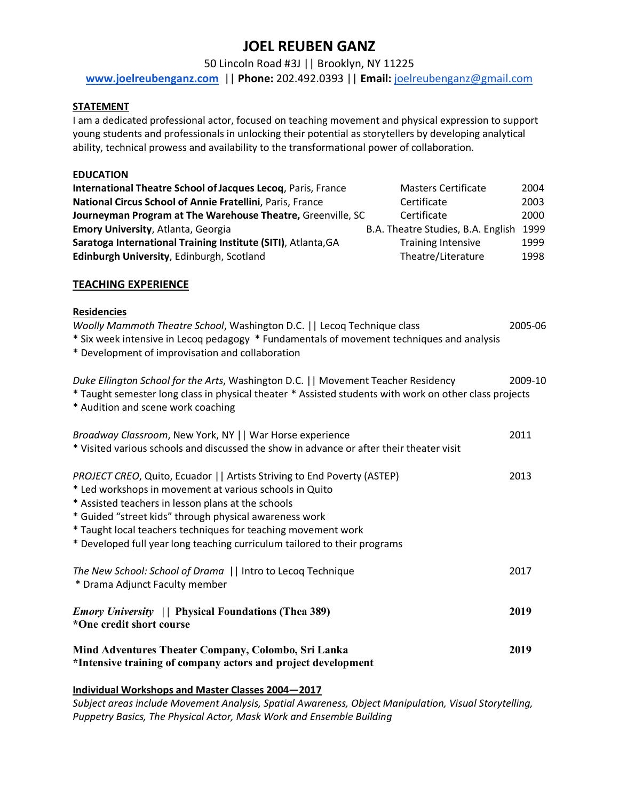# **JOEL REUBEN GANZ**

50 Lincoln Road #3J || Brooklyn, NY 11225

**www.joelreubenganz.com** || **Phone:** 202.492.0393 || **Email:** joelreubenganz@gmail.com

#### **STATEMENT**

I am a dedicated professional actor, focused on teaching movement and physical expression to support young students and professionals in unlocking their potential as storytellers by developing analytical ability, technical prowess and availability to the transformational power of collaboration.

#### **EDUCATION**

| International Theatre School of Jacques Lecoq, Paris, France  | <b>Masters Certificate</b>         | 2004 |
|---------------------------------------------------------------|------------------------------------|------|
| National Circus School of Annie Fratellini, Paris, France     | Certificate                        | 2003 |
| Journeyman Program at The Warehouse Theatre, Greenville, SC   | Certificate                        | 2000 |
| <b>Emory University, Atlanta, Georgia</b>                     | B.A. Theatre Studies, B.A. English | 1999 |
| Saratoga International Training Institute (SITI), Atlanta, GA | <b>Training Intensive</b>          | 1999 |
| Edinburgh University, Edinburgh, Scotland                     | Theatre/Literature                 | 1998 |

#### **TEACHING EXPERIENCE**

| <b>Residencies</b><br>Woolly Mammoth Theatre School, Washington D.C.     Lecoq Technique class<br>* Six week intensive in Lecoq pedagogy * Fundamentals of movement techniques and analysis<br>* Development of improvisation and collaboration                                                                                                                                                   | 2005-06 |
|---------------------------------------------------------------------------------------------------------------------------------------------------------------------------------------------------------------------------------------------------------------------------------------------------------------------------------------------------------------------------------------------------|---------|
| Duke Ellington School for the Arts, Washington D.C.   Movement Teacher Residency<br>* Taught semester long class in physical theater * Assisted students with work on other class projects<br>* Audition and scene work coaching                                                                                                                                                                  | 2009-10 |
| Broadway Classroom, New York, NY    War Horse experience<br>* Visited various schools and discussed the show in advance or after their theater visit                                                                                                                                                                                                                                              | 2011    |
| PROJECT CREO, Quito, Ecuador     Artists Striving to End Poverty (ASTEP)<br>* Led workshops in movement at various schools in Quito<br>* Assisted teachers in lesson plans at the schools<br>* Guided "street kids" through physical awareness work<br>* Taught local teachers techniques for teaching movement work<br>* Developed full year long teaching curriculum tailored to their programs | 2013    |
| The New School: School of Drama     Intro to Lecoq Technique<br>* Drama Adjunct Faculty member                                                                                                                                                                                                                                                                                                    | 2017    |
| <i>Emory University</i>   Physical Foundations (Thea 389)<br>*One credit short course                                                                                                                                                                                                                                                                                                             | 2019    |
| Mind Adventures Theater Company, Colombo, Sri Lanka<br>*Intensive training of company actors and project development                                                                                                                                                                                                                                                                              | 2019    |

#### **Individual Workshops and Master Classes 2004—2017**

*Subject areas include Movement Analysis, Spatial Awareness, Object Manipulation, Visual Storytelling, Puppetry Basics, The Physical Actor, Mask Work and Ensemble Building*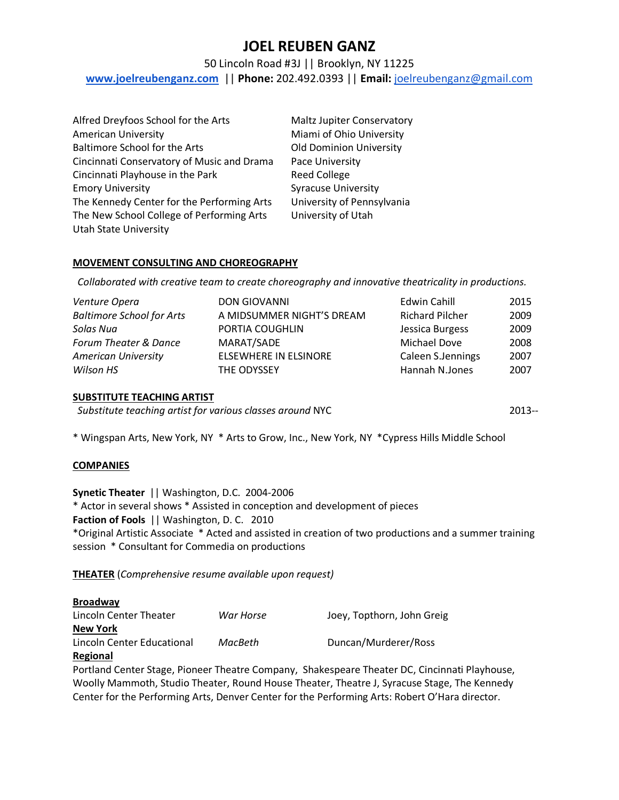# **JOEL REUBEN GANZ**

## 50 Lincoln Road #3J || Brooklyn, NY 11225

**www.joelreubenganz.com** || **Phone:** 202.492.0393 || **Email:** joelreubenganz@gmail.com

| Alfred Dreyfoos School for the Arts        | Maltz Jupiter Conservatory     |
|--------------------------------------------|--------------------------------|
| <b>American University</b>                 | Miami of Ohio University       |
| <b>Baltimore School for the Arts</b>       | <b>Old Dominion University</b> |
| Cincinnati Conservatory of Music and Drama | Pace University                |
| Cincinnati Playhouse in the Park           | <b>Reed College</b>            |
| <b>Emory University</b>                    | <b>Syracuse University</b>     |
| The Kennedy Center for the Performing Arts | University of Pennsylvania     |
| The New School College of Performing Arts  | University of Utah             |
| <b>Utah State University</b>               |                                |

#### **MOVEMENT CONSULTING AND CHOREOGRAPHY**

 *Collaborated with creative team to create choreography and innovative theatricality in productions.*

| Venture Opera                    | <b>DON GIOVANNI</b>          | Edwin Cahill           | 2015 |
|----------------------------------|------------------------------|------------------------|------|
| <b>Baltimore School for Arts</b> | A MIDSUMMER NIGHT'S DREAM    | <b>Richard Pilcher</b> | 2009 |
| Solas Nua                        | PORTIA COUGHLIN              | Jessica Burgess        | 2009 |
| Forum Theater & Dance            | MARAT/SADE                   | <b>Michael Dove</b>    | 2008 |
| <b>American University</b>       | <b>ELSEWHERE IN ELSINORE</b> | Caleen S.Jennings      | 2007 |
| Wilson HS                        | THE ODYSSEY                  | Hannah N.Jones         | 2007 |

#### **SUBSTITUTE TEACHING ARTIST**

*Substitute teaching artist for various classes around* NYC 2013--

\* Wingspan Arts, New York, NY \* Arts to Grow, Inc., New York, NY \*Cypress Hills Middle School

#### **COMPANIES**

**Synetic Theater** || Washington, D.C. 2004-2006 \* Actor in several shows \* Assisted in conception and development of pieces **Faction of Fools** || Washington, D. C. 2010 \*Original Artistic Associate \* Acted and assisted in creation of two productions and a summer training session \* Consultant for Commedia on productions

**THEATER** (*Comprehensive resume available upon request)*

#### **Broadway**

| Lincoln Center Theater     | War Horse | Joey, Topthorn, John Greig |
|----------------------------|-----------|----------------------------|
| <b>New York</b>            |           |                            |
| Lincoln Center Educational | MacBeth   | Duncan/Murderer/Ross       |
| Regional                   |           |                            |

Portland Center Stage, Pioneer Theatre Company, Shakespeare Theater DC, Cincinnati Playhouse, Woolly Mammoth, Studio Theater, Round House Theater, Theatre J, Syracuse Stage, The Kennedy Center for the Performing Arts, Denver Center for the Performing Arts: Robert O'Hara director.